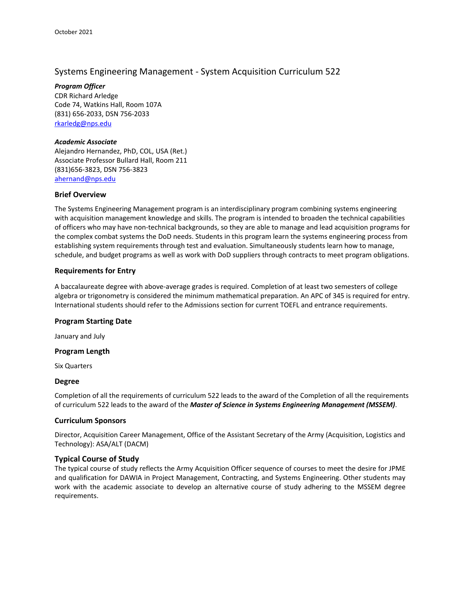# Systems Engineering Management - System Acquisition Curriculum 522

*Program Officer* CDR Richard Arledge Code 74, Watkins Hall, Room 107A (831) 656-2033, DSN 756-2033 [rkarledg@nps.edu](mailto:rkarledg@nps.edu)

#### *Academic Associate*

Alejandro Hernandez, PhD, COL, USA (Ret.) Associate Professor Bullard Hall, Room 211 (831)656-3823, DSN 756-3823 [ahernand@nps.edu](mailto:ahernand@nps.edu)

## **Brief Overview**

The Systems Engineering Management program is an interdisciplinary program combining systems engineering with acquisition management knowledge and skills. The program is intended to broaden the technical capabilities of officers who may have non-technical backgrounds, so they are able to manage and lead acquisition programs for the complex combat systems the DoD needs. Students in this program learn the systems engineering process from establishing system requirements through test and evaluation. Simultaneously students learn how to manage, schedule, and budget programs as well as work with DoD suppliers through contracts to meet program obligations.

## **Requirements for Entry**

A baccalaureate degree with above-average grades is required. Completion of at least two semesters of college algebra or trigonometry is considered the minimum mathematical preparation. An APC of 345 is required for entry. International students should refer to the Admissions section for current TOEFL and entrance requirements.

#### **Program Starting Date**

January and July

#### **Program Length**

Six Quarters

#### **Degree**

Completion of all the requirements of curriculum 522 leads to the award of the Completion of all the requirements of curriculum 522 leads to the award of the *Master of Science in Systems Engineering Management (MSSEM)*.

# **Curriculum Sponsors**

Director, Acquisition Career Management, Office of the Assistant Secretary of the Army (Acquisition, Logistics and Technology): ASA/ALT (DACM)

# **Typical Course of Study**

The typical course of study reflects the Army Acquisition Officer sequence of courses to meet the desire for JPME and qualification for DAWIA in Project Management, Contracting, and Systems Engineering. Other students may work with the academic associate to develop an alternative course of study adhering to the MSSEM degree requirements.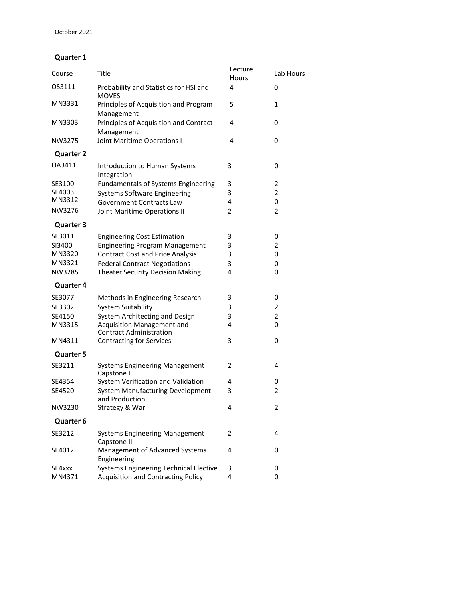# **Quarter 1**

| Course           | Title                                                               | Lecture<br>Hours | Lab Hours      |
|------------------|---------------------------------------------------------------------|------------------|----------------|
| OS3111           | Probability and Statistics for HSI and<br><b>MOVES</b>              | 4                | 0              |
| MN3331           | Principles of Acquisition and Program<br>Management                 | 5                | 1              |
| MN3303           | Principles of Acquisition and Contract<br>Management                | 4                | 0              |
| NW3275           | Joint Maritime Operations I                                         | 4                | 0              |
| <b>Quarter 2</b> |                                                                     |                  |                |
| OA3411           | Introduction to Human Systems<br>Integration                        | 3                | 0              |
| SE3100           | <b>Fundamentals of Systems Engineering</b>                          | 3                | 2              |
| SE4003           | <b>Systems Software Engineering</b>                                 | 3                | 2              |
| MN3312           | <b>Government Contracts Law</b>                                     | 4                | 0              |
| NW3276           | Joint Maritime Operations II                                        | 2                | $\overline{2}$ |
| <b>Quarter 3</b> |                                                                     |                  |                |
| SE3011           | <b>Engineering Cost Estimation</b>                                  | 3                | 0              |
| SI3400           | <b>Engineering Program Management</b>                               | 3                | $\overline{2}$ |
| MN3320           | <b>Contract Cost and Price Analysis</b>                             | 3                | 0              |
| MN3321           | <b>Federal Contract Negotiations</b>                                | 3                | 0              |
| NW3285           | <b>Theater Security Decision Making</b>                             | 4                | 0              |
| <b>Quarter 4</b> |                                                                     |                  |                |
|                  |                                                                     |                  |                |
| SE3077           | Methods in Engineering Research                                     | 3                | 0              |
| SE3302           | <b>System Suitability</b>                                           | 3                | $\overline{2}$ |
| SE4150           | System Architecting and Design                                      | 3<br>4           | $\overline{2}$ |
| MN3315           | <b>Acquisition Management and</b><br><b>Contract Administration</b> |                  | 0              |
| MN4311           | <b>Contracting for Services</b>                                     | 3                | 0              |
| <b>Quarter 5</b> |                                                                     |                  |                |
| SE3211           | <b>Systems Engineering Management</b><br>Capstone I                 | 2                | 4              |
| SE4354           | System Verification and Validation                                  | 4                | 0              |
| SE4520           | System Manufacturing Development<br>and Production                  | 3                | 2              |
| NW3230           | Strategy & War                                                      | 4                | 2              |
| Quarter 6        |                                                                     |                  |                |
| SE3212           | <b>Systems Engineering Management</b><br>Capstone II                | 2                | 4              |
| SE4012           | Management of Advanced Systems<br>Engineering                       | 4                | 0              |
| SE4xxx           | <b>Systems Engineering Technical Elective</b>                       | 3                | 0              |
| MN4371           | <b>Acquisition and Contracting Policy</b>                           | 4                | 0              |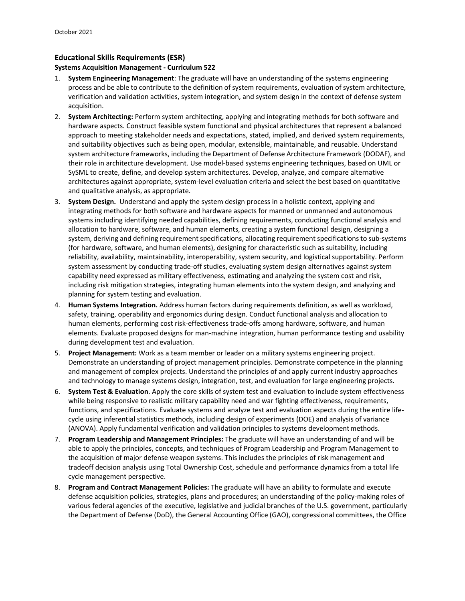# **Educational Skills Requirements (ESR)**

#### **Systems Acquisition Management - Curriculum 522**

- 1. **System Engineering Management**: The graduate will have an understanding of the systems engineering process and be able to contribute to the definition of system requirements, evaluation of system architecture, verification and validation activities, system integration, and system design in the context of defense system acquisition.
- 2. **System Architecting:** Perform system architecting, applying and integrating methods for both software and hardware aspects. Construct feasible system functional and physical architectures that represent a balanced approach to meeting stakeholder needs and expectations, stated, implied, and derived system requirements, and suitability objectives such as being open, modular, extensible, maintainable, and reusable. Understand system architecture frameworks, including the Department of Defense Architecture Framework (DODAF), and their role in architecture development. Use model-based systems engineering techniques, based on UML or SySML to create, define, and develop system architectures. Develop, analyze, and compare alternative architectures against appropriate, system-level evaluation criteria and select the best based on quantitative and qualitative analysis, as appropriate.
- 3. **System Design.** Understand and apply the system design process in a holistic context, applying and integrating methods for both software and hardware aspects for manned or unmanned and autonomous systems including identifying needed capabilities, defining requirements, conducting functional analysis and allocation to hardware, software, and human elements, creating a system functional design, designing a system, deriving and defining requirement specifications, allocating requirement specifications to sub-systems (for hardware, software, and human elements), designing for characteristic such as suitability, including reliability, availability, maintainability, interoperability, system security, and logistical supportability. Perform system assessment by conducting trade-off studies, evaluating system design alternatives against system capability need expressed as military effectiveness, estimating and analyzing the system cost and risk, including risk mitigation strategies, integrating human elements into the system design, and analyzing and planning for system testing and evaluation.
- 4. **Human Systems Integration.** Address human factors during requirements definition, as well as workload, safety, training, operability and ergonomics during design. Conduct functional analysis and allocation to human elements, performing cost risk-effectiveness trade-offs among hardware, software, and human elements. Evaluate proposed designs for man-machine integration, human performance testing and usability during development test and evaluation.
- 5. **Project Management:** Work as a team member or leader on a military systems engineering project. Demonstrate an understanding of project management principles. Demonstrate competence in the planning and management of complex projects. Understand the principles of and apply current industry approaches and technology to manage systems design, integration, test, and evaluation for large engineering projects.
- 6. **System Test & Evaluation**. Apply the core skills of system test and evaluation to include system effectiveness while being responsive to realistic military capability need and war fighting effectiveness, requirements, functions, and specifications. Evaluate systems and analyze test and evaluation aspects during the entire lifecycle using inferential statistics methods, including design of experiments (DOE) and analysis of variance (ANOVA). Apply fundamental verification and validation principles to systems development methods.
- 7. **Program Leadership and Management Principles:** The graduate will have an understanding of and will be able to apply the principles, concepts, and techniques of Program Leadership and Program Management to the acquisition of major defense weapon systems. This includes the principles of risk management and tradeoff decision analysis using Total Ownership Cost, schedule and performance dynamics from a total life cycle management perspective.
- 8. **Program and Contract Management Policies:** The graduate will have an ability to formulate and execute defense acquisition policies, strategies, plans and procedures; an understanding of the policy-making roles of various federal agencies of the executive, legislative and judicial branches of the U.S. government, particularly the Department of Defense (DoD), the General Accounting Office (GAO), congressional committees, the Office